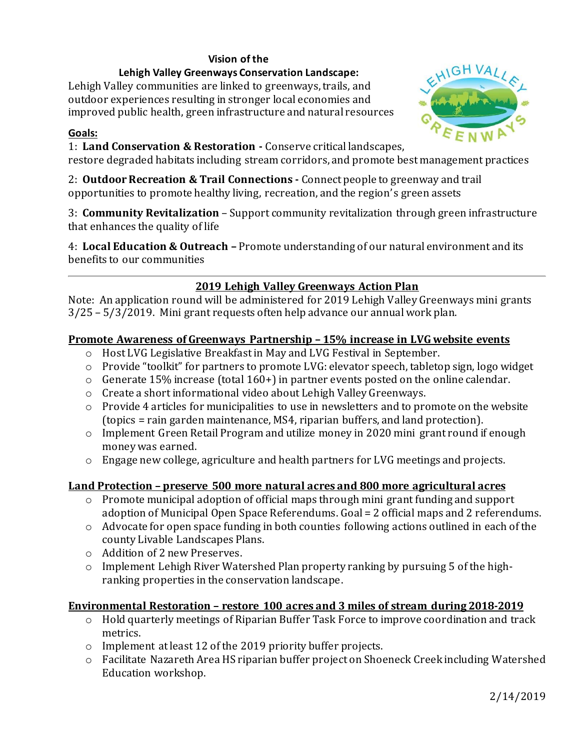## **Vision of the**

#### **Lehigh Valley Greenways Conservation Landscape:**

Lehigh Valley communities are linked to greenways, trails, and outdoor experiences resulting in stronger local economies and improved public health, green infrastructure and natural resources

#### **Goals:**

1: **Land Conservation & Restoration -** Conserve critical landscapes,

restore degraded habitats including stream corridors, and promote best management practices

2: **Outdoor Recreation & Trail Connections -** Connect people to greenway and trail opportunities to promote healthy living, recreation, and the region' s green assets

3: **Community Revitalization** – Support community revitalization through green infrastructure that enhances the quality of life

4: **Local Education & Outreach –** Promote understanding of our natural environment and its benefits to our communities

# **2019 Lehigh Valley Greenways Action Plan**

Note: An application round will be administered for 2019 Lehigh Valley Greenways mini grants 3/25 – 5/3/2019. Mini grant requests often help advance our annual work plan.

### **Promote Awareness of Greenways Partnership – 15% increase in LVG website events**

- o Host LVG Legislative Breakfast in May and LVG Festival in September.
- o Provide "toolkit" for partners to promote LVG: elevator speech, tabletop sign, logo widget
- o Generate 15% increase (total 160+)in partner events posted on the online calendar.
- o Create a short informational video about Lehigh Valley Greenways.
- o Provide 4 articles for municipalities to use in newsletters and to promote on the website (topics = rain garden maintenance, MS4, riparian buffers, and land protection).
- o Implement Green Retail Program and utilize money in 2020 mini grant round if enough money was earned.
- $\circ$  Engage new college, agriculture and health partners for LVG meetings and projects.

### **Land Protection – preserve 500 more natural acres and 800 more agricultural acres**

- o Promote municipal adoption of official maps through mini grant funding and support adoption of Municipal Open Space Referendums. Goal = 2 official maps and 2 referendums.
- o Advocate for open space funding in both counties following actions outlined in each of the county Livable Landscapes Plans.
- o Addition of 2 new Preserves.
- o Implement Lehigh River Watershed Plan property ranking by pursuing 5 of the highranking properties in the conservation landscape.

### **Environmental Restoration – restore 100 acres and 3 miles of stream during 2018-2019**

- o Hold quarterly meetings of Riparian Buffer Task Force to improve coordination and track metrics.
- o Implement at least 12 of the 2019 priority buffer projects.
- o Facilitate Nazareth Area HS riparian buffer project on Shoeneck Creek including Watershed Education workshop.